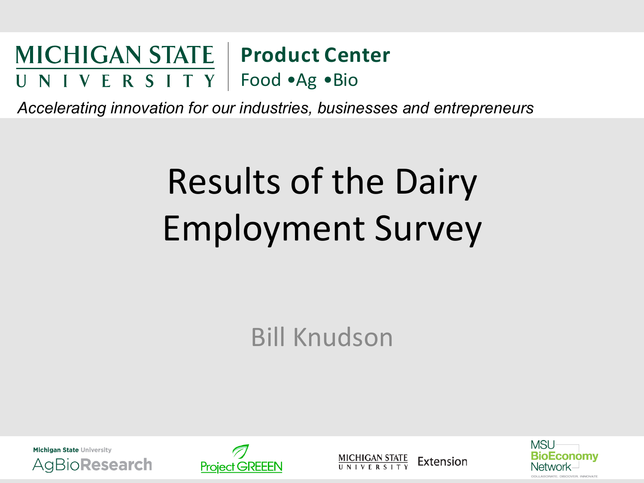#### **MICHIGAN STATE | Product Center** U N I V E R S I T Y | Food •Ag • Bio

*Accelerating innovation for our industries, businesses and entrepreneurs* 

## Results of the Dairy Employment Survey

**Bill Knudson** 





**MICHIGAN STATE** Extension **NIVERSITY** 

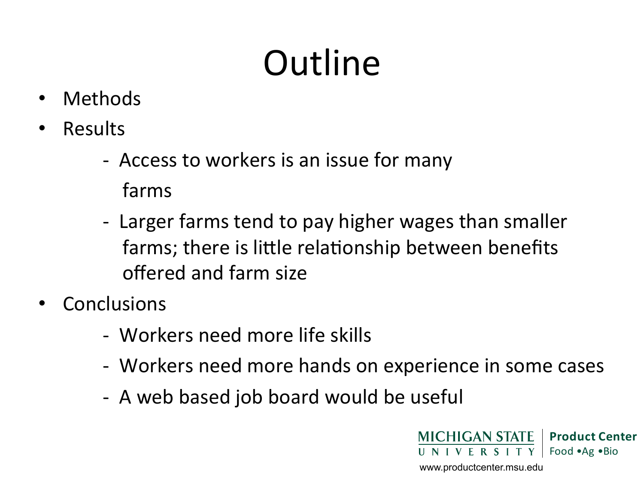# **Outline**

- Methods
- Results
	- Access to workers is an issue for many
		- farms
	- Larger farms tend to pay higher wages than smaller farms; there is little relationship between benefits offered and farm size
- **Conclusions** 
	- - Workers need more life skills
	- Workers need more hands on experience in some cases
	- A web based job board would be useful

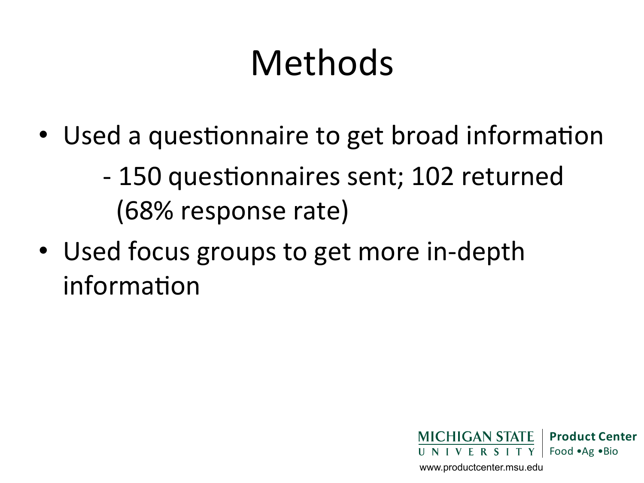## Methods

- Used a questionnaire to get broad information
	- 150 questionnaires sent; 102 returned (68% response rate)
- Used focus groups to get more in-depth information

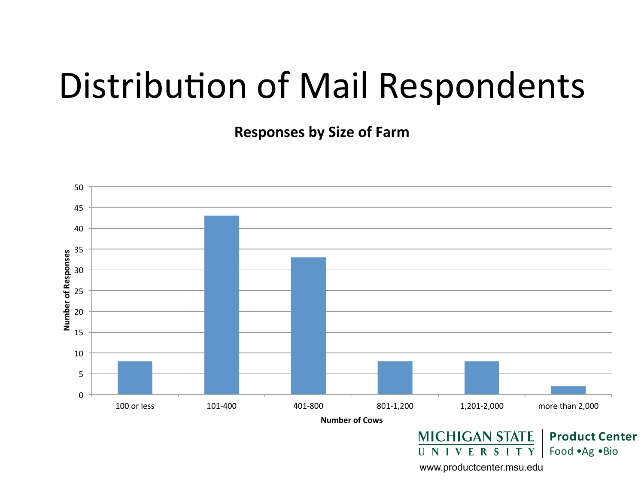#### Distribution of Mail Respondents

**Responses by Size of Farm** 

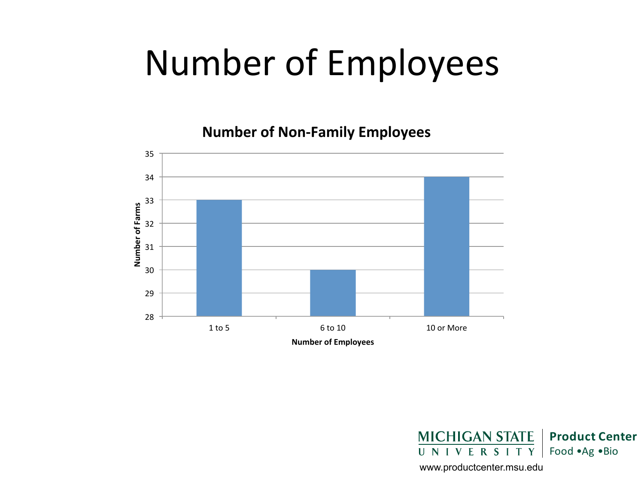#### Number of Employees

**Number of Non-Family Employees** 



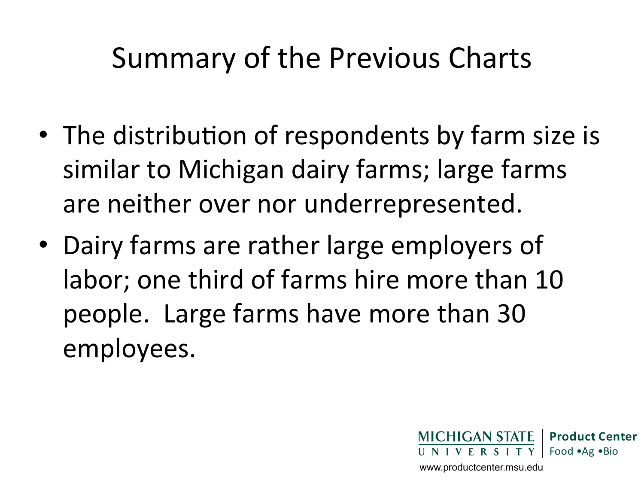#### Summary of the Previous Charts

- The distribution of respondents by farm size is similar to Michigan dairy farms; large farms are neither over nor underrepresented.
- Dairy farms are rather large employers of labor; one third of farms hire more than 10 people. Large farms have more than 30 employees.

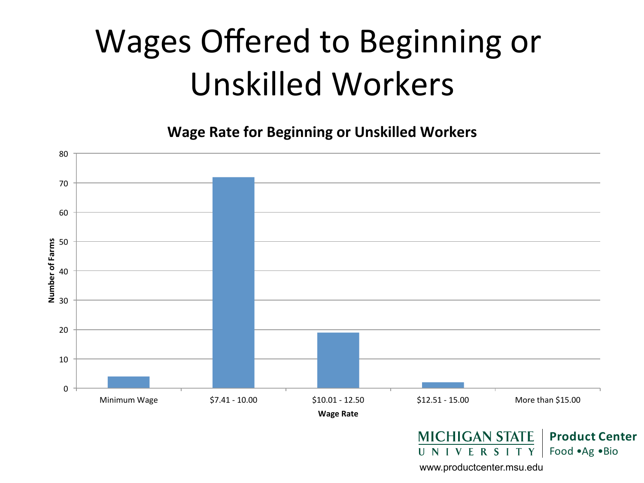#### Wages Offered to Beginning or Unskilled Workers

**Wage Rate for Beginning or Unskilled Workers** 

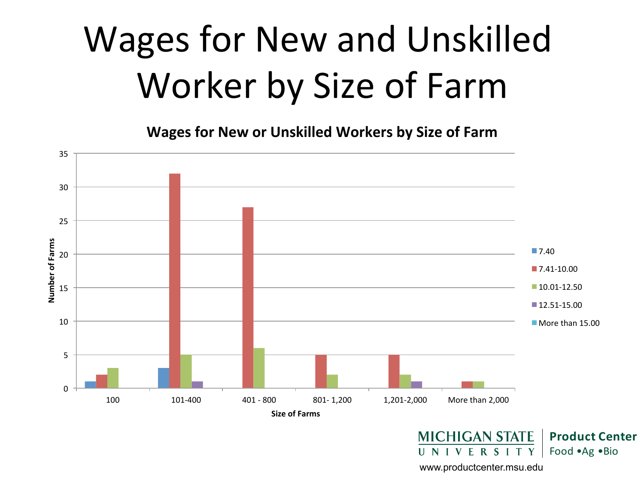## Wages for New and Unskilled Worker by Size of Farm

**Wages for New or Unskilled Workers by Size of Farm** 

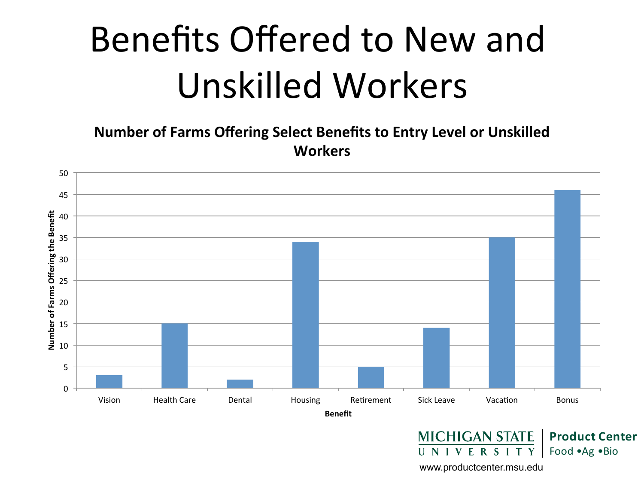## Benefits Offered to New and Unskilled Workers

**Number of Farms Offering Select Benefits to Entry Level or Unskilled Workers** 



www.productcenter.msu.edu

Y

UNIVERSIT

Food • Ag • Bio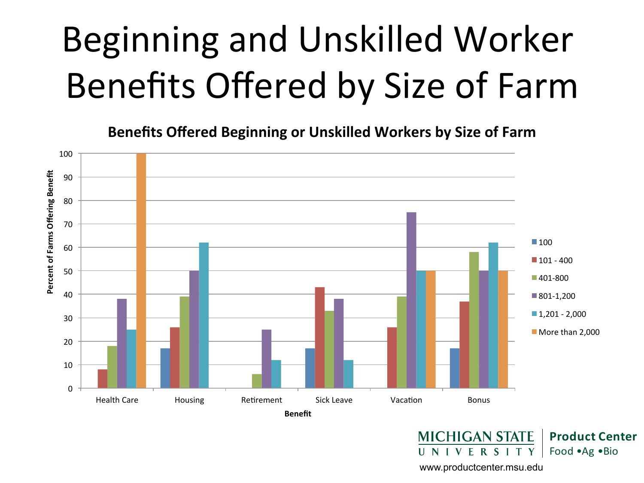## Beginning and Unskilled Worker Benefits Offered by Size of Farm

**Benefits Offered Beginning or Unskilled Workers by Size of Farm** 



www.productcenter.msu.edu

UNIVERSITY

Food • Ag • Bio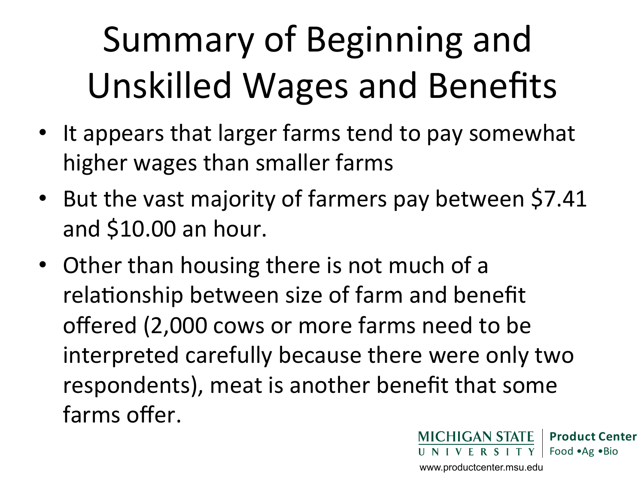# Summary of Beginning and Unskilled Wages and Benefits

- It appears that larger farms tend to pay somewhat higher wages than smaller farms
- But the vast majority of farmers pay between \$7.41 and \$10.00 an hour.
- Other than housing there is not much of a relationship between size of farm and benefit offered (2,000 cows or more farms need to be interpreted carefully because there were only two respondents), meat is another benefit that some farms offer.

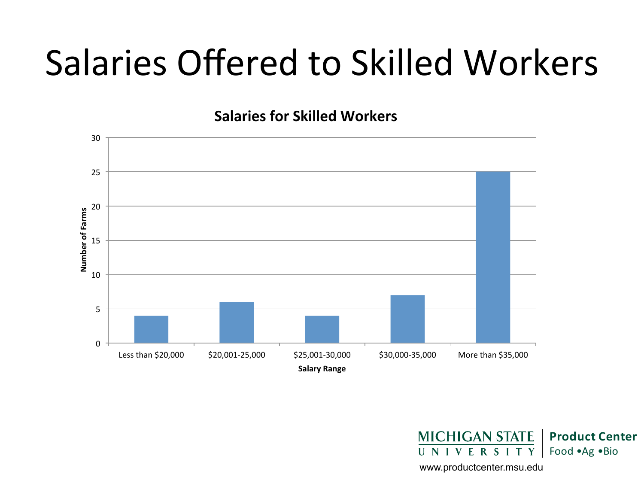#### Salaries Offered to Skilled Workers

**Salaries for Skilled Workers** 



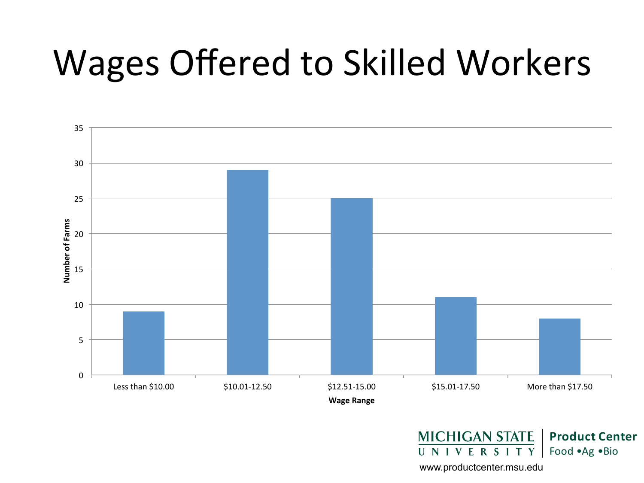#### Wages Offered to Skilled Workers



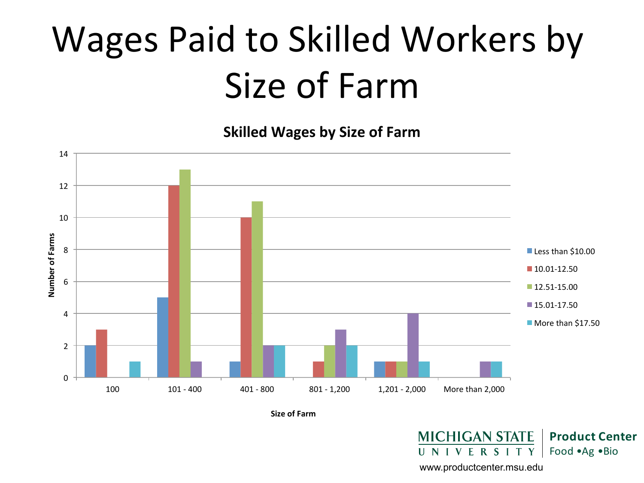## Wages Paid to Skilled Workers by Size of Farm

**Skilled Wages by Size of Farm** 



**Size of Farm** 

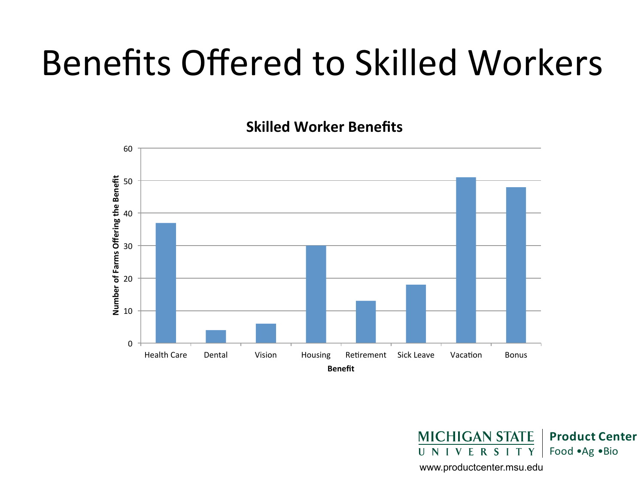#### Benefits Offered to Skilled Workers

**Skilled Worker Benefits** 



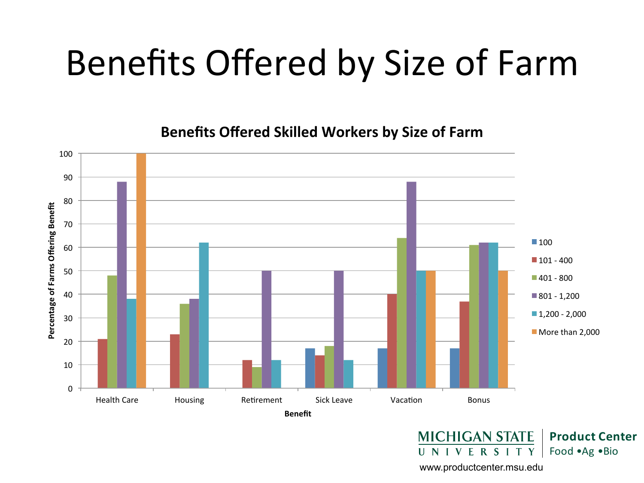#### Benefits Offered by Size of Farm

**Benefits Offered Skilled Workers by Size of Farm** 



Food • Ag • Bio

www.productcenter.msu.edu

UNIVERSITY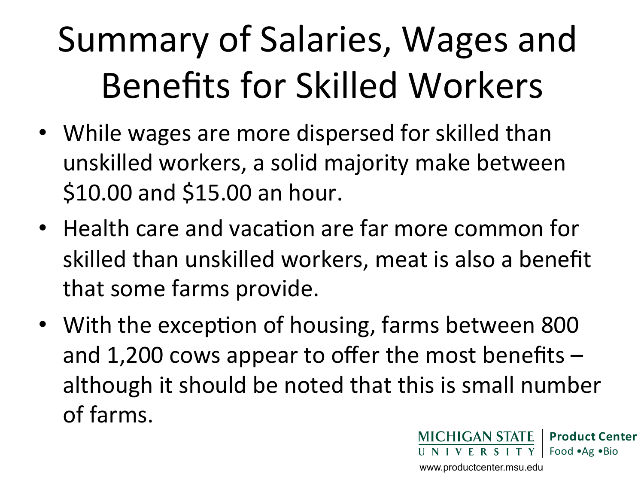## Summary of Salaries, Wages and Benefits for Skilled Workers

- While wages are more dispersed for skilled than unskilled workers, a solid majority make between \$10.00 and \$15.00 an hour.
- Health care and vacation are far more common for skilled than unskilled workers, meat is also a benefit that some farms provide.
- With the exception of housing, farms between 800 and 1,200 cows appear to offer the most benefits  $$ although it should be noted that this is small number of farms.

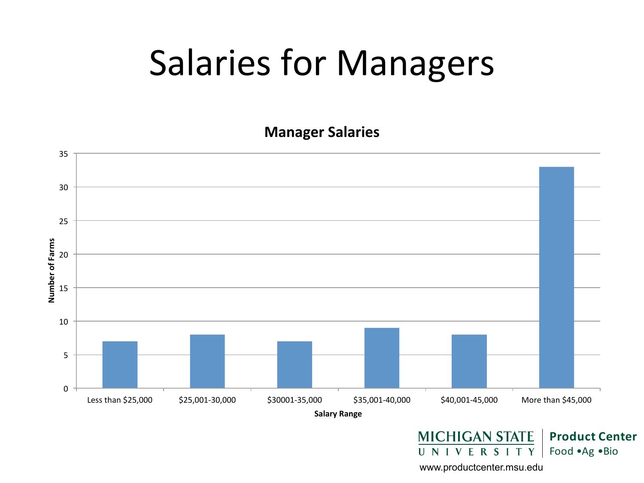#### Salaries for Managers

**Manager Salaries** 

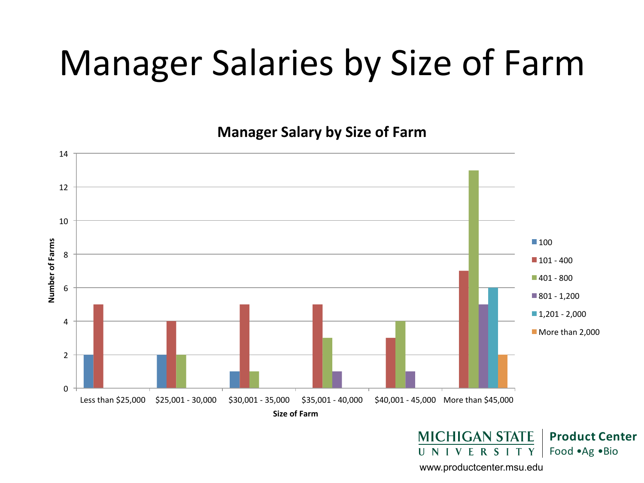#### Manager Salaries by Size of Farm

**Manager Salary by Size of Farm** 



**MICHIGAN STATE Product Center** UNIVERSITY Food •Ag •Bio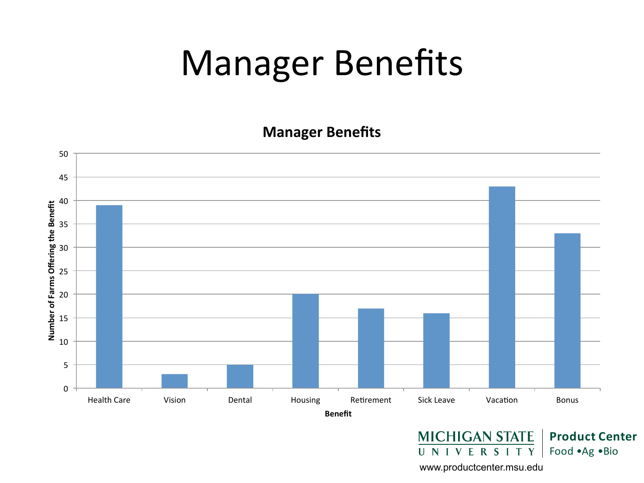#### **Manager Benefits**

**Manager Benefits** 



UNIVERSITY Food • Ag • Bio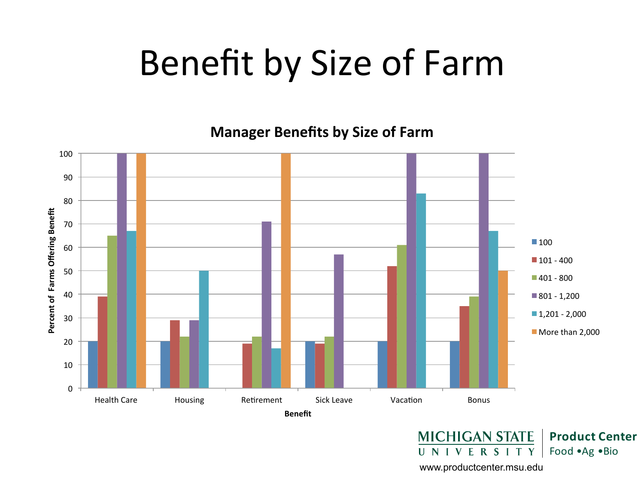#### Benefit by Size of Farm

**Manager Benefits by Size of Farm** 



www.productcenter.msu.edu

UNIVERSITY

Food • Ag • Bio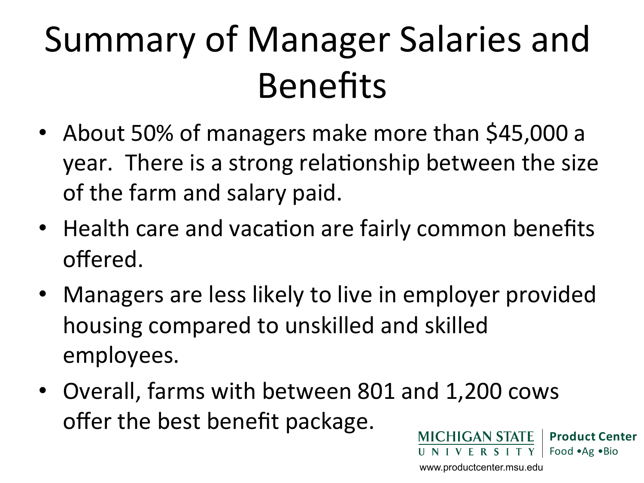## Summary of Manager Salaries and Benefits

- About 50% of managers make more than \$45,000 a year. There is a strong relationship between the size of the farm and salary paid.
- Health care and vacation are fairly common benefits offered.
- Managers are less likely to live in employer provided housing compared to unskilled and skilled employees.
- Overall, farms with between 801 and 1,200 cows offer the best benefit package. **MICHIGAN STATE Product Center**

www.productcenter.msu.edu

UNIVERSITY

Food • Ag • Bio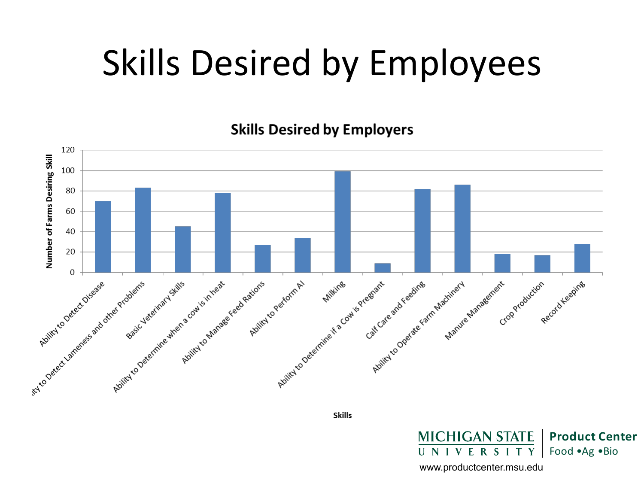#### Skills Desired by Employees

**Skills Desired by Employers** 



**Skills** 

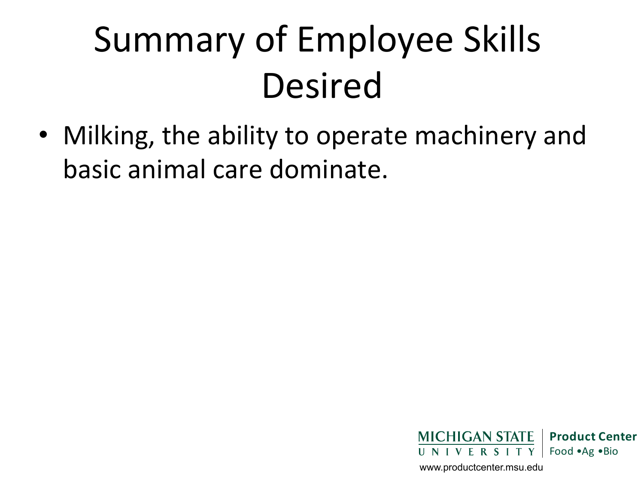## Summary of Employee Skills Desired

• Milking, the ability to operate machinery and basic animal care dominate. 

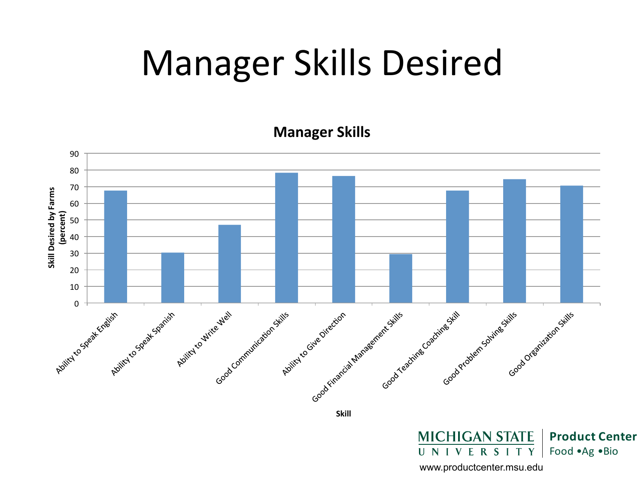#### Manager Skills Desired

**Manager Skills** 



**MICHIGAN STATE Product Center**  $R S$ Food • Ag • Bio U N  $\mathbf{V}$ E  $\mathbf{I}$ T Y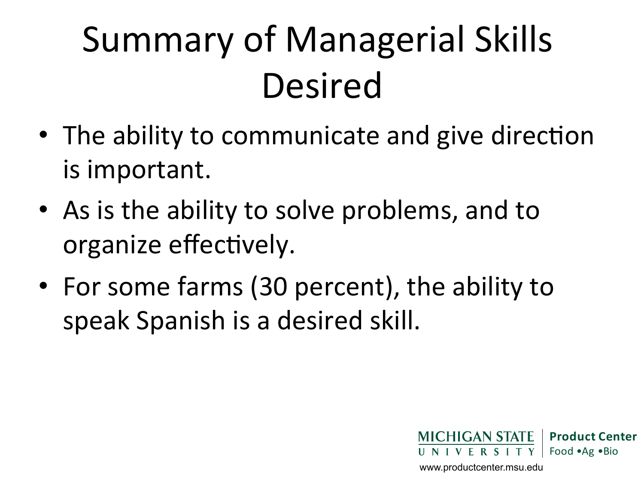## Summary of Managerial Skills Desired

- The ability to communicate and give direction is important.
- As is the ability to solve problems, and to organize effectively.
- For some farms (30 percent), the ability to speak Spanish is a desired skill.

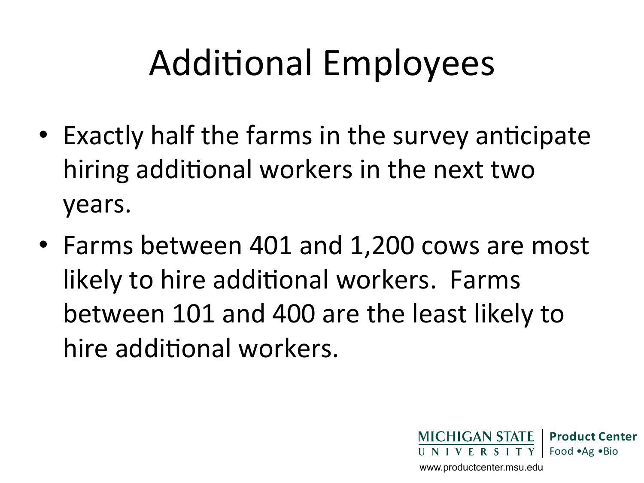## Additional Employees

- Exactly half the farms in the survey anticipate hiring additional workers in the next two years.
- Farms between 401 and 1,200 cows are most likely to hire additional workers. Farms between 101 and 400 are the least likely to hire additional workers.

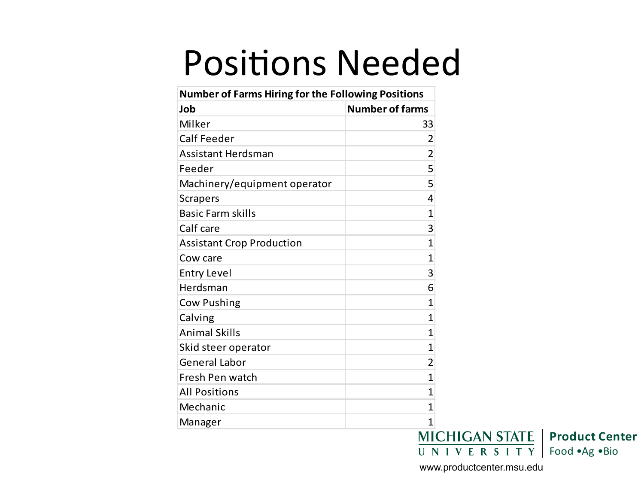#### **Positions Needed**

| <b>Number of Farms Hiring for the Following Positions</b> |                        |
|-----------------------------------------------------------|------------------------|
| Job                                                       | <b>Number of farms</b> |
| Milker                                                    | 33                     |
| <b>Calf Feeder</b>                                        | 2                      |
| <b>Assistant Herdsman</b>                                 | $\overline{2}$         |
| Feeder                                                    | 5                      |
| Machinery/equipment operator                              | 5                      |
| <b>Scrapers</b>                                           | 4                      |
| <b>Basic Farm skills</b>                                  | 1                      |
| Calf care                                                 | 3                      |
| <b>Assistant Crop Production</b>                          | 1                      |
| Cow care                                                  | 1                      |
| <b>Entry Level</b>                                        | 3                      |
| Herdsman                                                  | 6                      |
| <b>Cow Pushing</b>                                        | 1                      |
| Calving                                                   | 1                      |
| <b>Animal Skills</b>                                      | 1                      |
| Skid steer operator                                       | 1                      |
| <b>General Labor</b>                                      | $\overline{2}$         |
| Fresh Pen watch                                           | 1                      |
| <b>All Positions</b>                                      | 1                      |
| Mechanic                                                  | 1                      |
| Manager                                                   | 1                      |
|                                                           | <b>MICHIGAN STATE</b>  |

**Product Center**  $\overline{U}$  N I V E R S I T Y Food • Ag • Bio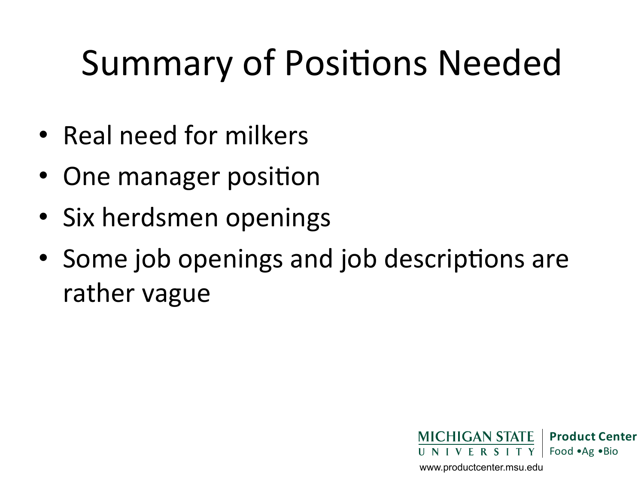## Summary of Positions Needed

- Real need for milkers
- One manager position
- Six herdsmen openings
- Some job openings and job descriptions are rather vague

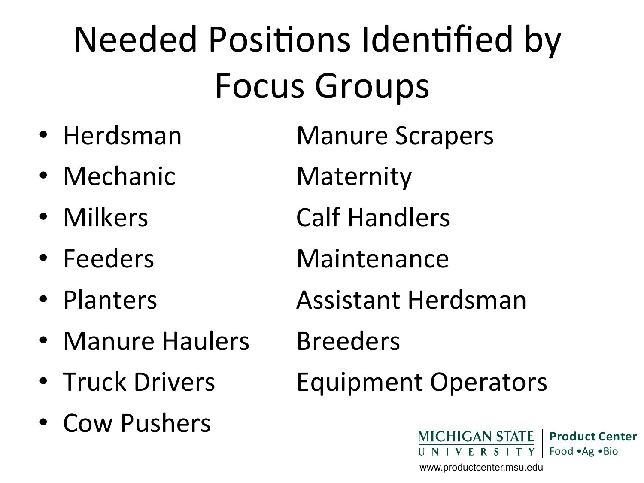# Needed Positions Identified by Focus Groups

- 
- Mechanic Maternity
- 
- 
- 
- Manure Haulers Breeders
- 
- Cow Pushers

• Herdsman Manure Scrapers

- Milkers Calf Handlers
- Feeders Maintenance
- Planters **Assistant Herdsman** 
	-
- Truck Drivers Equipment Operators

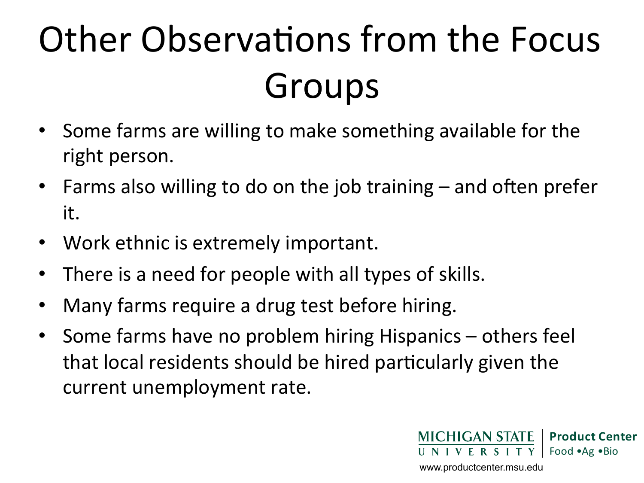# Other Observations from the Focus Groups

- Some farms are willing to make something available for the right person.
- Farms also willing to do on the job training and often prefer it.
- Work ethnic is extremely important.
- There is a need for people with all types of skills.
- Many farms require a drug test before hiring.
- Some farms have no problem hiring Hispanics others feel that local residents should be hired particularly given the current unemployment rate.

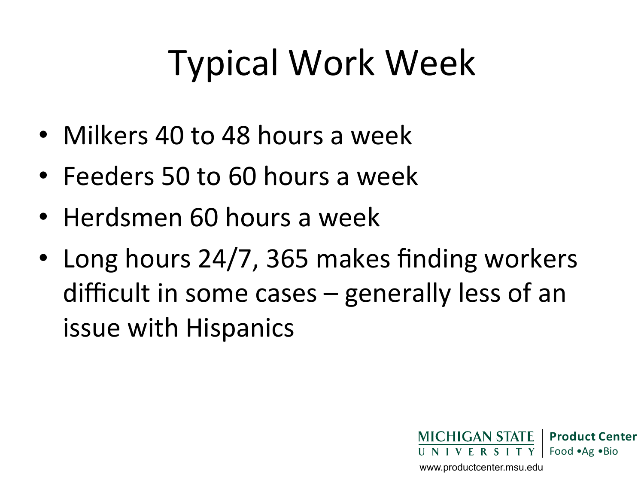## Typical Work Week

- Milkers 40 to 48 hours a week
- Feeders 50 to 60 hours a week
- Herdsmen 60 hours a week
- Long hours 24/7, 365 makes finding workers difficult in some cases  $-$  generally less of an issue with Hispanics

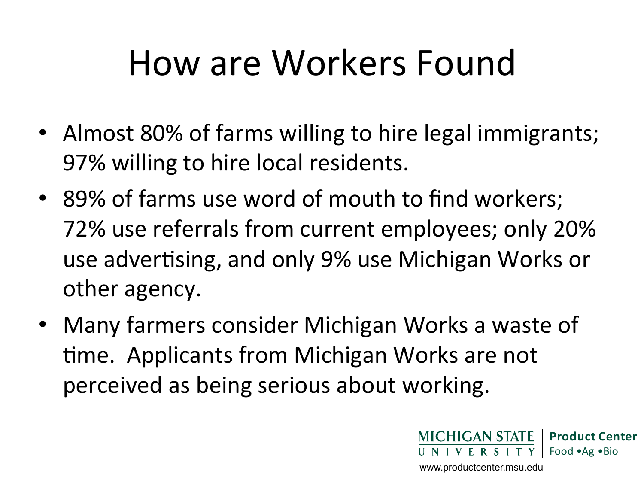#### How are Workers Found

- Almost 80% of farms willing to hire legal immigrants; 97% willing to hire local residents.
- 89% of farms use word of mouth to find workers; 72% use referrals from current employees; only 20% use advertising, and only 9% use Michigan Works or other agency.
- Many farmers consider Michigan Works a waste of time. Applicants from Michigan Works are not perceived as being serious about working.

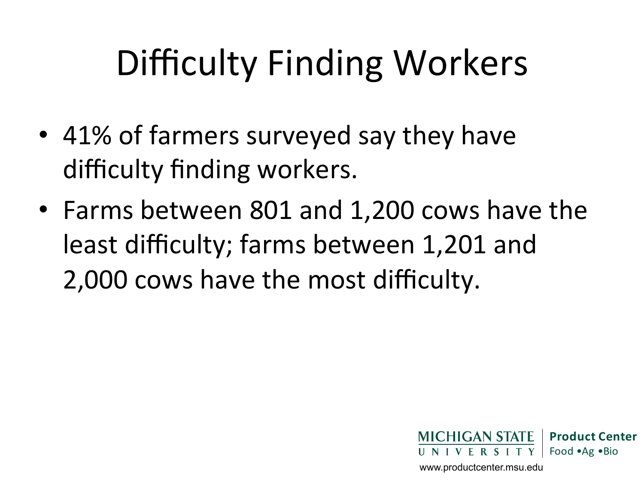## Difficulty Finding Workers

- 41% of farmers surveyed say they have difficulty finding workers.
- Farms between 801 and 1,200 cows have the least difficulty; farms between 1,201 and 2,000 cows have the most difficulty.

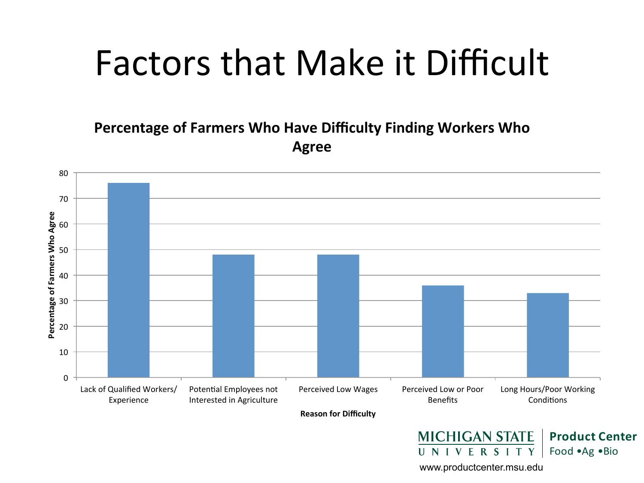#### Factors that Make it Difficult

**Percentage of Farmers Who Have Difficulty Finding Workers Who Agree** 

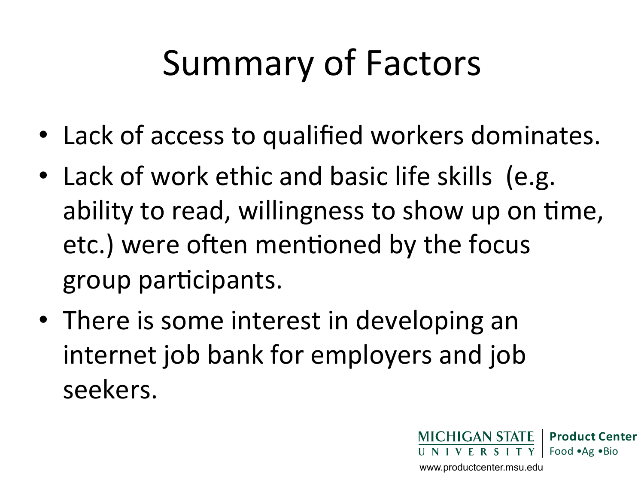## Summary of Factors

- Lack of access to qualified workers dominates.
- Lack of work ethic and basic life skills (e.g. ability to read, willingness to show up on time, etc.) were often mentioned by the focus group participants.
- There is some interest in developing an internet job bank for employers and job seekers.

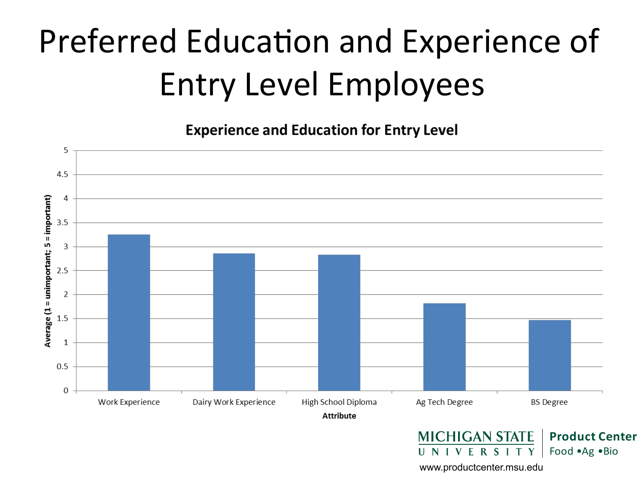#### Preferred Education and Experience of Entry Level Employees

**Experience and Education for Entry Level** 

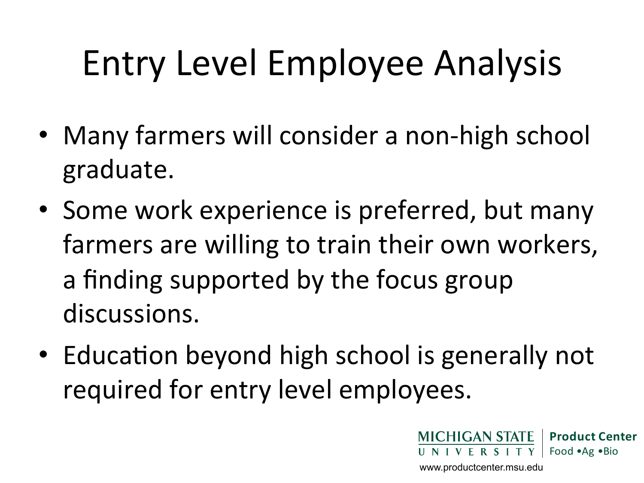## Entry Level Employee Analysis

- Many farmers will consider a non-high school graduate.
- Some work experience is preferred, but many farmers are willing to train their own workers, a finding supported by the focus group discussions.
- Education beyond high school is generally not required for entry level employees.

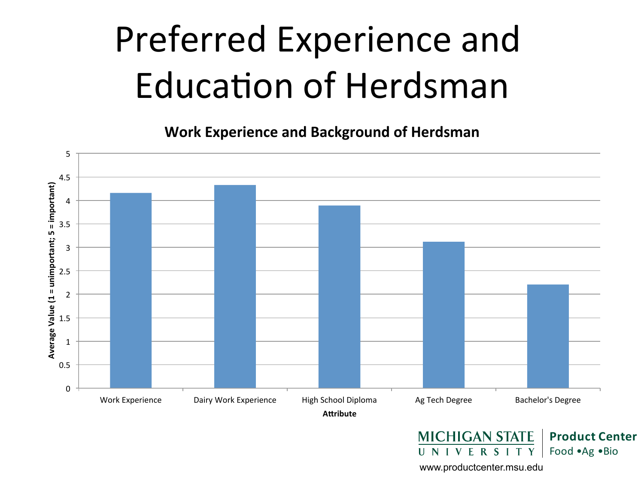## Preferred Experience and Education of Herdsman

**Work Experience and Background of Herdsman** 

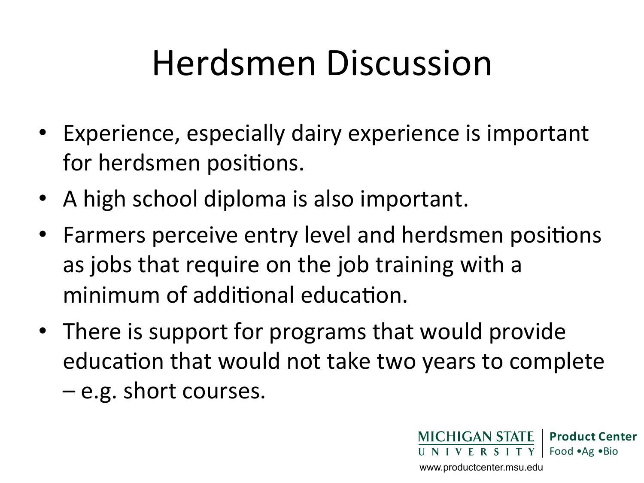#### Herdsmen Discussion

- Experience, especially dairy experience is important for herdsmen positions.
- A high school diploma is also important.
- Farmers perceive entry level and herdsmen positions as jobs that require on the job training with a minimum of additional education.
- There is support for programs that would provide education that would not take two years to complete
	- $-e.g.$  short courses.

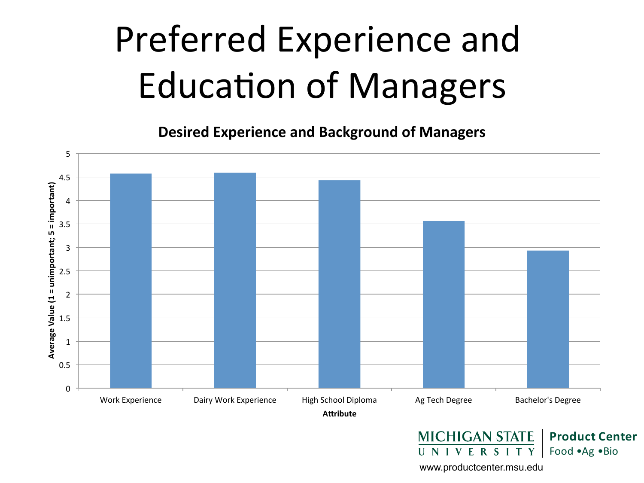## Preferred Experience and **Education of Managers**

**Desired Experience and Background of Managers** 

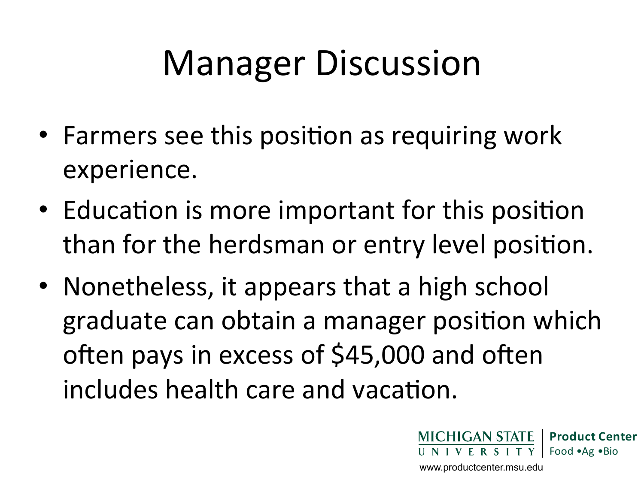## **Manager Discussion**

- Farmers see this position as requiring work experience.
- Education is more important for this position than for the herdsman or entry level position.
- Nonetheless, it appears that a high school graduate can obtain a manager position which often pays in excess of \$45,000 and often includes health care and vacation.

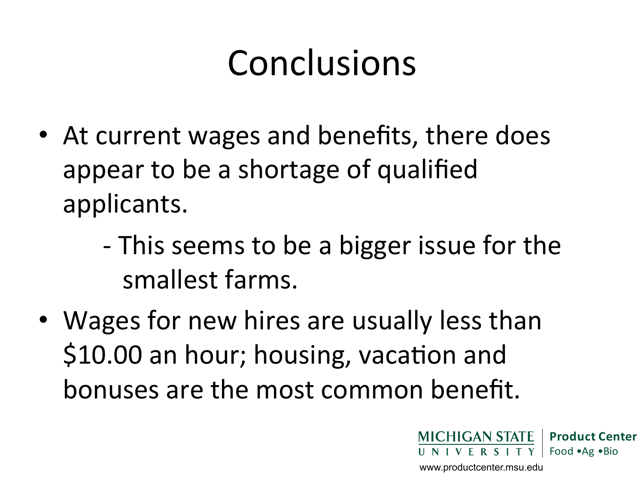#### Conclusions

- At current wages and benefits, there does appear to be a shortage of qualified applicants.
	- This seems to be a bigger issue for the smallest farms.
- Wages for new hires are usually less than \$10.00 an hour; housing, vacation and bonuses are the most common benefit.

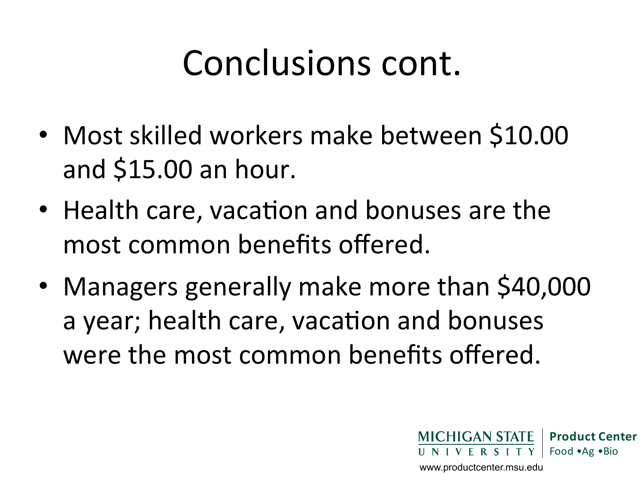#### Conclusions cont.

- Most skilled workers make between \$10.00 and \$15.00 an hour.
- Health care, vacation and bonuses are the most common benefits offered.
- Managers generally make more than \$40,000 a year; health care, vacation and bonuses were the most common benefits offered.

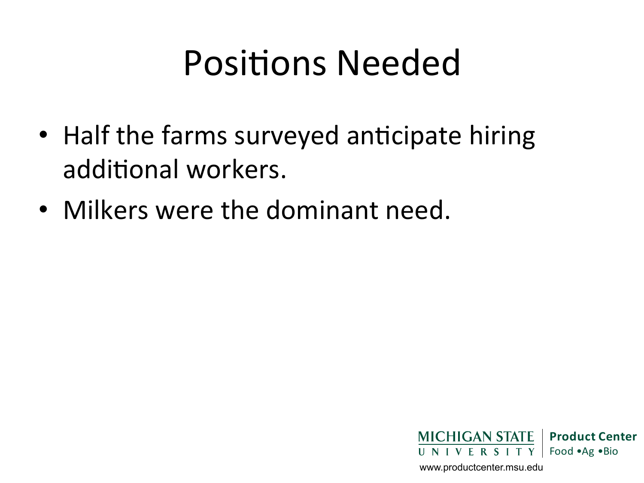#### Positions Needed

- Half the farms surveyed anticipate hiring additional workers.
- Milkers were the dominant need.

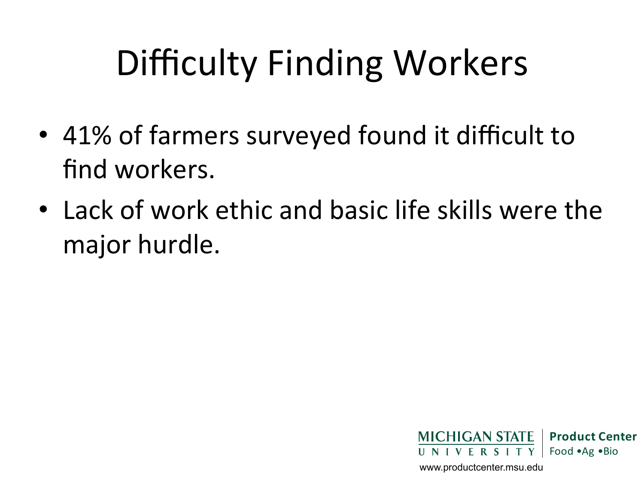## Difficulty Finding Workers

- 41% of farmers surveyed found it difficult to find workers.
- Lack of work ethic and basic life skills were the major hurdle.

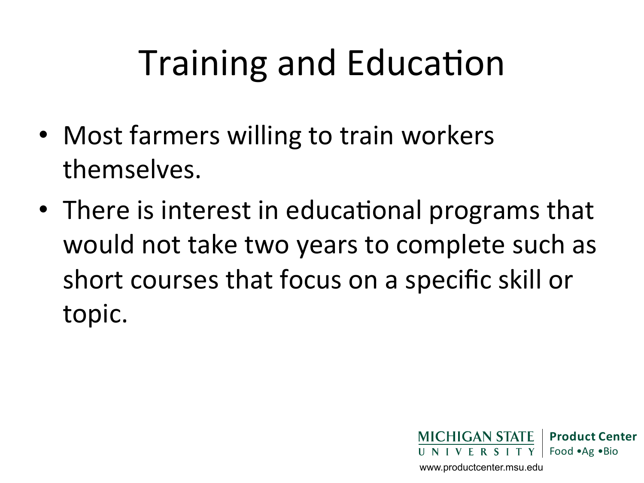## Training and Education

- Most farmers willing to train workers themselves.
- There is interest in educational programs that would not take two years to complete such as short courses that focus on a specific skill or topic.